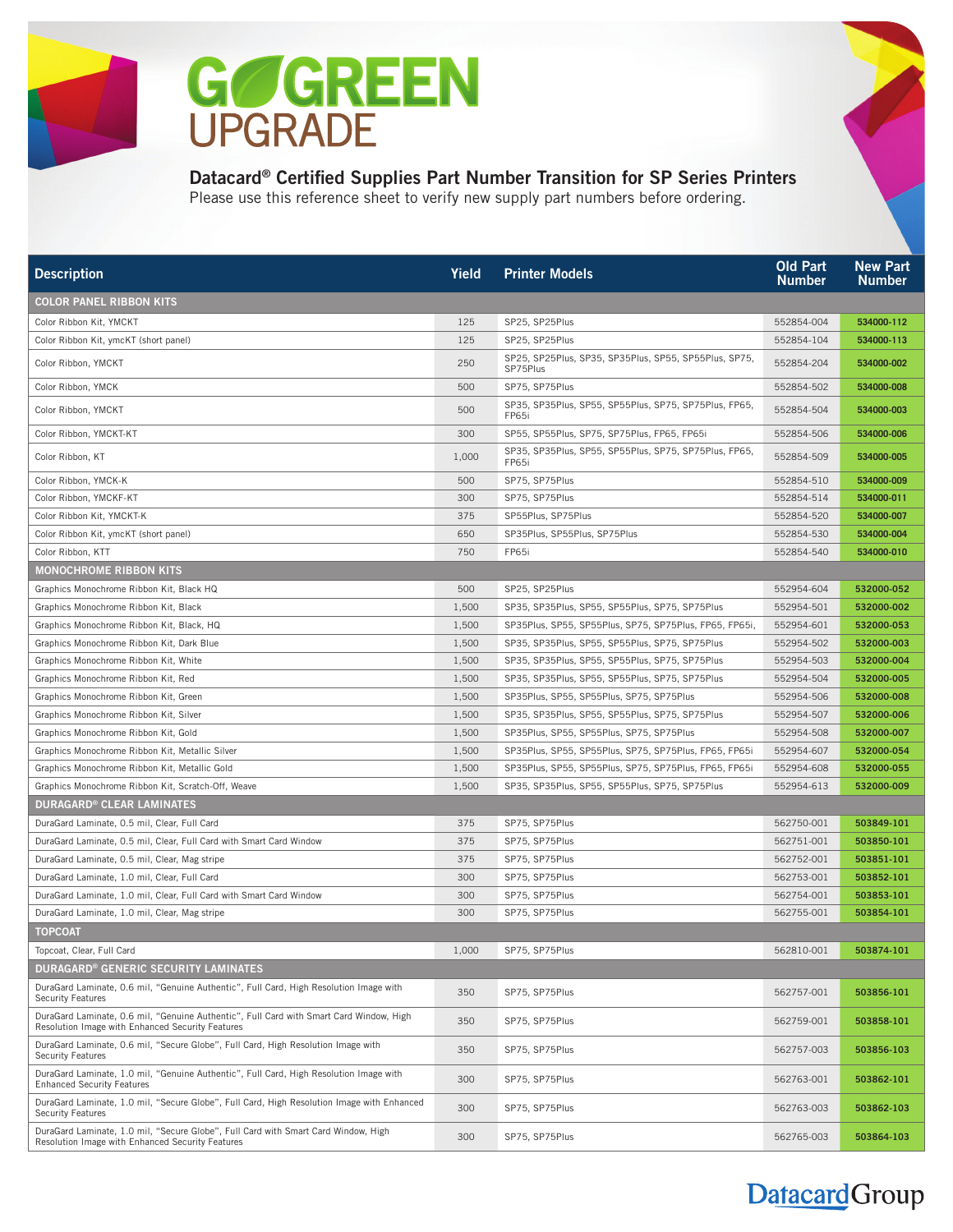

## Datacard® Certified Supplies Part Number Transition for SP Series Printers

Please use this reference sheet to verify new supply part numbers before ordering.

| <b>Description</b>                                                                                                                          | Yield | <b>Printer Models</b>                                             | <b>Old Part</b><br><b>Number</b> | <b>New Part</b><br><b>Number</b> |
|---------------------------------------------------------------------------------------------------------------------------------------------|-------|-------------------------------------------------------------------|----------------------------------|----------------------------------|
| COLOR PANEL RIBBON KITS                                                                                                                     |       |                                                                   |                                  |                                  |
| Color Ribbon Kit, YMCKT                                                                                                                     | 125   | SP25, SP25Plus                                                    | 552854-004                       | 534000-112                       |
| Color Ribbon Kit, ymcKT (short panel)                                                                                                       | 125   | SP25, SP25Plus                                                    | 552854-104                       | 534000-113                       |
| Color Ribbon, YMCKT                                                                                                                         | 250   | SP25, SP25Plus, SP35, SP35Plus, SP55, SP55Plus, SP75,<br>SP75Plus | 552854-204                       | 534000-002                       |
| Color Ribbon, YMCK                                                                                                                          | 500   | SP75, SP75Plus                                                    | 552854-502                       | 534000-008                       |
| Color Ribbon, YMCKT                                                                                                                         | 500   | SP35, SP35Plus, SP55, SP55Plus, SP75, SP75Plus, FP65,<br>FP65i    | 552854-504                       | 534000-003                       |
| Color Ribbon, YMCKT-KT                                                                                                                      | 300   | SP55, SP55Plus, SP75, SP75Plus, FP65, FP65i                       | 552854-506                       | 534000-006                       |
| Color Ribbon, KT                                                                                                                            | 1,000 | SP35, SP35Plus, SP55, SP55Plus, SP75, SP75Plus, FP65,<br>FP65i    | 552854-509                       | 534000-005                       |
| Color Ribbon, YMCK-K                                                                                                                        | 500   | SP75, SP75Plus                                                    | 552854-510                       | 534000-009                       |
| Color Ribbon, YMCKF-KT                                                                                                                      | 300   | SP75, SP75Plus                                                    | 552854-514                       | 534000-011                       |
| Color Ribbon Kit, YMCKT-K                                                                                                                   | 375   | SP55Plus, SP75Plus                                                | 552854-520                       | 534000-007                       |
| Color Ribbon Kit, ymcKT (short panel)                                                                                                       | 650   | SP35Plus, SP55Plus, SP75Plus                                      | 552854-530                       | 534000-004                       |
| Color Ribbon, KTT                                                                                                                           | 750   | FP65i                                                             | 552854-540                       | 534000-010                       |
| MONOCHROME RIBBON KITS                                                                                                                      |       |                                                                   |                                  |                                  |
| Graphics Monochrome Ribbon Kit, Black HQ                                                                                                    | 500   | SP25. SP25Plus                                                    | 552954-604                       | 532000-052                       |
| Graphics Monochrome Ribbon Kit, Black                                                                                                       | 1,500 | SP35, SP35Plus, SP55, SP55Plus, SP75, SP75Plus                    | 552954-501                       | 532000-002                       |
| Graphics Monochrome Ribbon Kit, Black, HQ                                                                                                   | 1,500 | SP35Plus, SP55, SP55Plus, SP75, SP75Plus, FP65, FP65i,            | 552954-601                       | 532000-053                       |
| Graphics Monochrome Ribbon Kit, Dark Blue                                                                                                   | 1,500 | SP35, SP35Plus, SP55, SP55Plus, SP75, SP75Plus                    | 552954-502                       | 532000-003                       |
| Graphics Monochrome Ribbon Kit, White                                                                                                       | 1,500 | SP35, SP35Plus, SP55, SP55Plus, SP75, SP75Plus                    | 552954-503                       | 532000-004                       |
| Graphics Monochrome Ribbon Kit, Red                                                                                                         | 1,500 | SP35, SP35Plus, SP55, SP55Plus, SP75, SP75Plus                    | 552954-504                       | 532000-005                       |
| Graphics Monochrome Ribbon Kit, Green                                                                                                       | 1,500 | SP35Plus, SP55, SP55Plus, SP75, SP75Plus                          | 552954-506                       | 532000-008                       |
| Graphics Monochrome Ribbon Kit, Silver                                                                                                      | 1,500 | SP35, SP35Plus, SP55, SP55Plus, SP75, SP75Plus                    | 552954-507                       | 532000-006                       |
| Graphics Monochrome Ribbon Kit, Gold                                                                                                        | 1,500 | SP35Plus, SP55, SP55Plus, SP75, SP75Plus                          | 552954-508                       | 532000-007                       |
| Graphics Monochrome Ribbon Kit, Metallic Silver                                                                                             | 1,500 | SP35Plus, SP55, SP55Plus, SP75, SP75Plus, FP65, FP65i             | 552954-607                       | 532000-054                       |
| Graphics Monochrome Ribbon Kit, Metallic Gold                                                                                               | 1,500 | SP35Plus, SP55, SP55Plus, SP75, SP75Plus, FP65, FP65i             | 552954-608                       | 532000-055                       |
| Graphics Monochrome Ribbon Kit, Scratch-Off, Weave                                                                                          | 1,500 | SP35, SP35Plus, SP55, SP55Plus, SP75, SP75Plus                    | 552954-613                       | 532000-009                       |
| <b>DURAGARD® CLEAR LAMINATES</b>                                                                                                            |       |                                                                   |                                  |                                  |
| DuraGard Laminate, 0.5 mil, Clear, Full Card                                                                                                | 375   | SP75, SP75Plus                                                    | 562750-001                       | 503849-101                       |
| DuraGard Laminate, 0.5 mil, Clear, Full Card with Smart Card Window                                                                         | 375   | SP75, SP75Plus                                                    | 562751-001                       | 503850-101                       |
| DuraGard Laminate, 0.5 mil, Clear, Mag stripe                                                                                               | 375   | SP75, SP75Plus                                                    | 562752-001                       | 503851-101                       |
| DuraGard Laminate, 1.0 mil, Clear, Full Card                                                                                                | 300   | SP75, SP75Plus                                                    | 562753-001                       | 503852-101                       |
| DuraGard Laminate, 1.0 mil, Clear, Full Card with Smart Card Window                                                                         | 300   | SP75, SP75Plus                                                    | 562754-001                       | 503853-101                       |
| DuraGard Laminate, 1.0 mil, Clear, Mag stripe                                                                                               | 300   | SP75, SP75Plus                                                    | 562755-001                       | 503854-101                       |
| <b>TOPCOAT</b>                                                                                                                              |       |                                                                   |                                  |                                  |
| Topcoat, Clear, Full Card                                                                                                                   | 1,000 | SP75, SP75Plus                                                    | 562810-001                       | 503874-101                       |
| <b>DURAGARD® GENERIC SECURITY LAMINATES</b>                                                                                                 |       |                                                                   |                                  |                                  |
| DuraGard Laminate, 0.6 mil, "Genuine Authentic", Full Card, High Resolution Image with<br><b>Security Features</b>                          | 350   | SP75, SP75Plus                                                    | 562757-001                       | 503856-101                       |
| DuraGard Laminate, 0.6 mil, "Genuine Authentic", Full Card with Smart Card Window, High<br>Resolution Image with Enhanced Security Features | 350   | SP75, SP75Plus                                                    | 562759-001                       | 503858-101                       |
| DuraGard Laminate, 0.6 mil, "Secure Globe", Full Card, High Resolution Image with<br><b>Security Features</b>                               | 350   | SP75, SP75Plus                                                    | 562757-003                       | 503856-103                       |
| DuraGard Laminate, 1.0 mil, "Genuine Authentic", Full Card, High Resolution Image with<br><b>Enhanced Security Features</b>                 | 300   | SP75, SP75Plus                                                    | 562763-001                       | 503862-101                       |
| DuraGard Laminate, 1.0 mil, "Secure Globe", Full Card, High Resolution Image with Enhanced<br><b>Security Features</b>                      | 300   | SP75, SP75Plus                                                    | 562763-003                       | 503862-103                       |
| DuraGard Laminate, 1.0 mil, "Secure Globe", Full Card with Smart Card Window, High<br>Resolution Image with Enhanced Security Features      | 300   | SP75, SP75Plus                                                    | 562765-003                       | 503864-103                       |

# Datacard Group